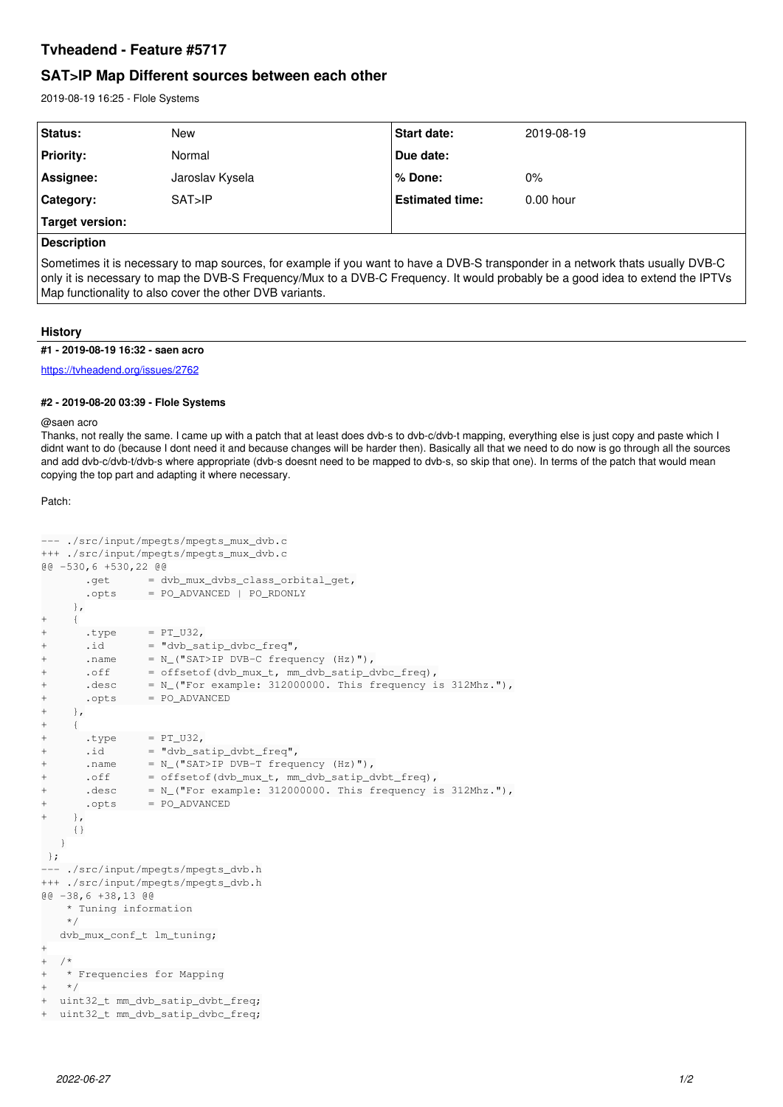# **Tvheadend - Feature #5717**

# **SAT>IP Map Different sources between each other**

2019-08-19 16:25 - Flole Systems

| Status:          | New             | Start date:            | 2019-08-19  |
|------------------|-----------------|------------------------|-------------|
| <b>Priority:</b> | Normal          | Due date:              |             |
| Assignee:        | Jaroslav Kysela | l% Done:               | $0\%$       |
| Category:        | SAT > IP        | <b>Estimated time:</b> | $0.00$ hour |
| Target version:  |                 |                        |             |
|                  |                 |                        |             |

## **Description**

Sometimes it is necessary to map sources, for example if you want to have a DVB-S transponder in a network thats usually DVB-C only it is necessary to map the DVB-S Frequency/Mux to a DVB-C Frequency. It would probably be a good idea to extend the IPTVs Map functionality to also cover the other DVB variants.

### **History**

#### **#1 - 2019-08-19 16:32 - saen acro**

<https://tvheadend.org/issues/2762>

### **#2 - 2019-08-20 03:39 - Flole Systems**

#### @saen acro

Thanks, not really the same. I came up with a patch that at least does dvb-s to dvb-c/dvb-t mapping, everything else is just copy and paste which I didnt want to do (because I dont need it and because changes will be harder then). Basically all that we need to do now is go through all the sources and add dvb-c/dvb-t/dvb-s where appropriate (dvb-s doesnt need to be mapped to dvb-s, so skip that one). In terms of the patch that would mean copying the top part and adapting it where necessary.

Patch:

```
--- ./src/input/mpegts/mpegts_mux_dvb.c
+++ ./src/input/mpegts/mpegts_mux_dvb.c
@@ -530,6 +530,22 @@
        .get = dvb_mux_dvbs_class_orbital_get,
                .opts     = PO_ADVANCED | PO_RDONLY
           },
+  {
+      .type     = PT_U32,
+ \ldots \vdots \vdots \vdots \vdots \vdots \vdots \vdots \vdots \vdots \vdots \vdots \vdots \vdots \vdots \vdots \vdots \vdots \vdots \vdots \vdots \vdots \vdots \vdots \vdots \vdots \vdots \vdots \vdots \vdots \vdots \vdots \vdots \vdots \vdots \vdots \vd+      .name     = N_("SAT>IP DVB-C frequency (Hz)"),
+      .off                = offsetof(dvb_mux_t, mm_dvb_satip_dvbc_freq),
+ \cdot \cdot \cdot \cdot = N_("For example: 312000000. This frequency is 312Mhz."),
+      .opts     = PO_ADVANCED
+ },
+  {
+      .type     = PT_U32,
+      .id       = "dvb_satip_dvbt_freq",
+      .name     = N_("SAT>IP DVB-T frequency (Hz)"),
+      .off                 = offsetof(dvb_mux_t, mm_dvb_satip_dvbt_freq),
+      .desc      = N ("For example: 312000000. This frequency is 312Mhz."),
+      .opts     = PO_ADVANCED
+ },
           {}
      }
};
--- ./src/input/mpegts/mpegts_dvb.h
+++ ./src/input/mpegts/mpegts_dvb.h
@@ -38,6 +38,13 @@
         * Tuning information
        */
      dvb_mux_conf_t lm_tuning;
+
+ /*
+   * Frequencies for Mapping
+ * /
+  uint32_t mm_dvb_satip_dvbt_freq;
  uint32_t mm_dvb_satip_dvbc_freq;
```